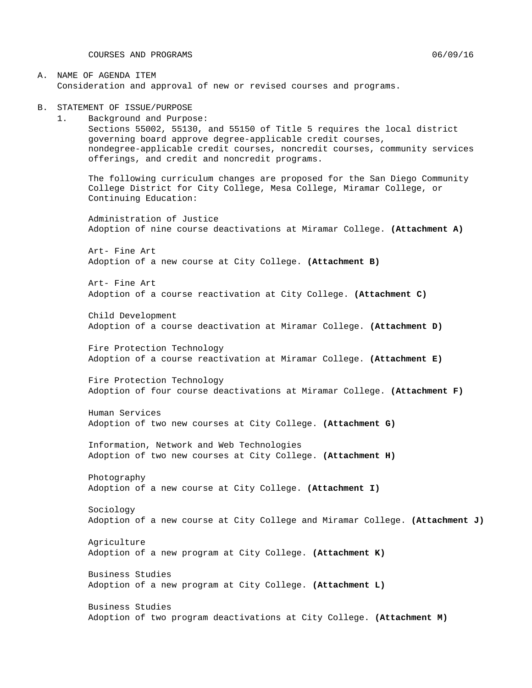COURSES AND PROGRAMS 8 06/09/16

#### A. NAME OF AGENDA ITEM Consideration and approval of new or revised courses and programs.

#### B. STATEMENT OF ISSUE/PURPOSE

1. Background and Purpose: Sections 55002, 55130, and 55150 of Title 5 requires the local district governing board approve degree-applicable credit courses, nondegree-applicable credit courses, noncredit courses, community services offerings, and credit and noncredit programs.

The following curriculum changes are proposed for the San Diego Community College District for City College, Mesa College, Miramar College, or Continuing Education:

Administration of Justice Adoption of nine course deactivations at Miramar College. **(Attachment A)**

Art- Fine Art Adoption of a new course at City College. **(Attachment B)**

Art- Fine Art Adoption of a course reactivation at City College. **(Attachment C)**

Child Development Adoption of a course deactivation at Miramar College. **(Attachment D)**

Fire Protection Technology Adoption of a course reactivation at Miramar College. **(Attachment E)**

Fire Protection Technology Adoption of four course deactivations at Miramar College. **(Attachment F)**

Human Services Adoption of two new courses at City College. **(Attachment G)**

Information, Network and Web Technologies Adoption of two new courses at City College. **(Attachment H)**

Photography Adoption of a new course at City College. **(Attachment I)**

Sociology Adoption of a new course at City College and Miramar College. **(Attachment J)**

Agriculture Adoption of a new program at City College. **(Attachment K)**

Business Studies Adoption of a new program at City College. **(Attachment L)**

Business Studies Adoption of two program deactivations at City College. **(Attachment M)**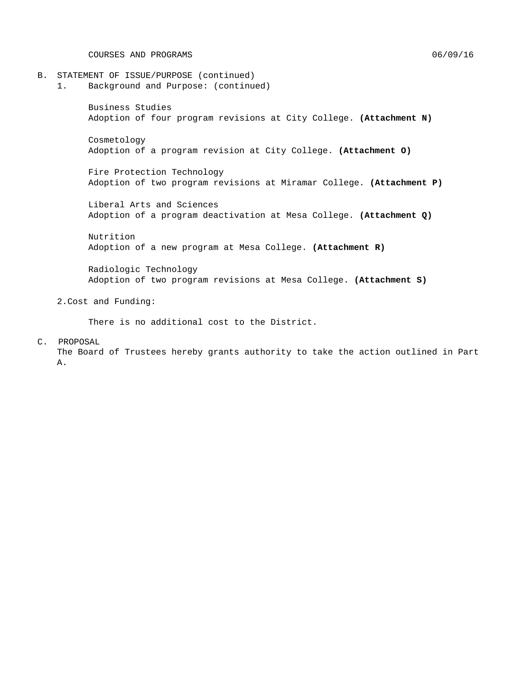COURSES AND PROGRAMS 06/09/16

- B. STATEMENT OF ISSUE/PURPOSE (continued)<br>1. Background and Purpose: (continue
	- 1. Background and Purpose: (continued)

Business Studies Adoption of four program revisions at City College. **(Attachment N)**

Cosmetology Adoption of a program revision at City College. **(Attachment O)**

Fire Protection Technology Adoption of two program revisions at Miramar College. **(Attachment P)**

Liberal Arts and Sciences Adoption of a program deactivation at Mesa College. **(Attachment Q)**

Nutrition Adoption of a new program at Mesa College. **(Attachment R)**

Radiologic Technology Adoption of two program revisions at Mesa College. **(Attachment S)**

2.Cost and Funding:

There is no additional cost to the District.

C. PROPOSAL

The Board of Trustees hereby grants authority to take the action outlined in Part A.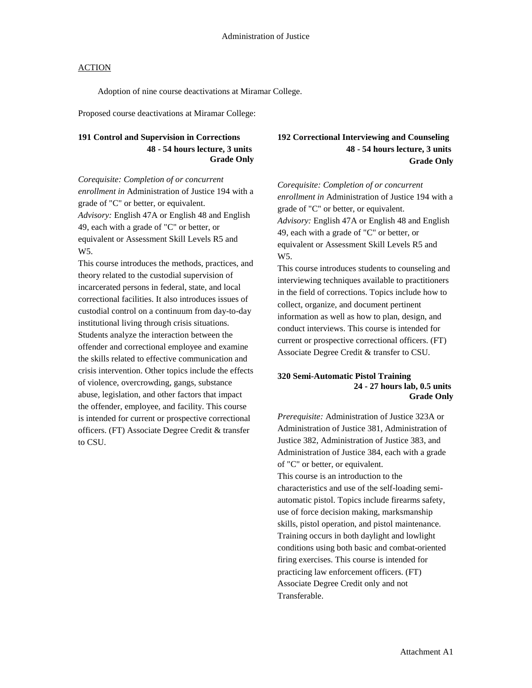Adoption of nine course deactivations at Miramar College.

Proposed course deactivations at Miramar College:

## **191 Control and Supervision in Corrections 48 - 54 hours lecture, 3 units Grade Only**

*Corequisite: Completion of or concurrent enrollment in* Administration of Justice 194 with a grade of "C" or better, or equivalent. *Advisory:* English 47A or English 48 and English 49, each with a grade of "C" or better, or equivalent or Assessment Skill Levels R5 and W5.

This course introduces the methods, practices, and theory related to the custodial supervision of incarcerated persons in federal, state, and local correctional facilities. It also introduces issues of custodial control on a continuum from day-to-day institutional living through crisis situations. Students analyze the interaction between the offender and correctional employee and examine the skills related to effective communication and crisis intervention. Other topics include the effects of violence, overcrowding, gangs, substance abuse, legislation, and other factors that impact the offender, employee, and facility. This course is intended for current or prospective correctional officers. (FT) Associate Degree Credit & transfer to CSU.

## **192 Correctional Interviewing and Counseling 48 - 54 hours lecture, 3 units Grade Only**

*Corequisite: Completion of or concurrent enrollment in* Administration of Justice 194 with a grade of "C" or better, or equivalent. *Advisory:* English 47A or English 48 and English 49, each with a grade of "C" or better, or equivalent or Assessment Skill Levels R5 and W5.

This course introduces students to counseling and interviewing techniques available to practitioners in the field of corrections. Topics include how to collect, organize, and document pertinent information as well as how to plan, design, and conduct interviews. This course is intended for current or prospective correctional officers. (FT) Associate Degree Credit & transfer to CSU.

#### **320 Semi-Automatic Pistol Training 24 - 27 hours lab, 0.5 units Grade Only**

*Prerequisite:* Administration of Justice 323A or Administration of Justice 381, Administration of Justice 382, Administration of Justice 383, and Administration of Justice 384, each with a grade of "C" or better, or equivalent. This course is an introduction to the characteristics and use of the self-loading semiautomatic pistol. Topics include firearms safety, use of force decision making, marksmanship skills, pistol operation, and pistol maintenance. Training occurs in both daylight and lowlight conditions using both basic and combat-oriented firing exercises. This course is intended for practicing law enforcement officers. (FT) Associate Degree Credit only and not Transferable.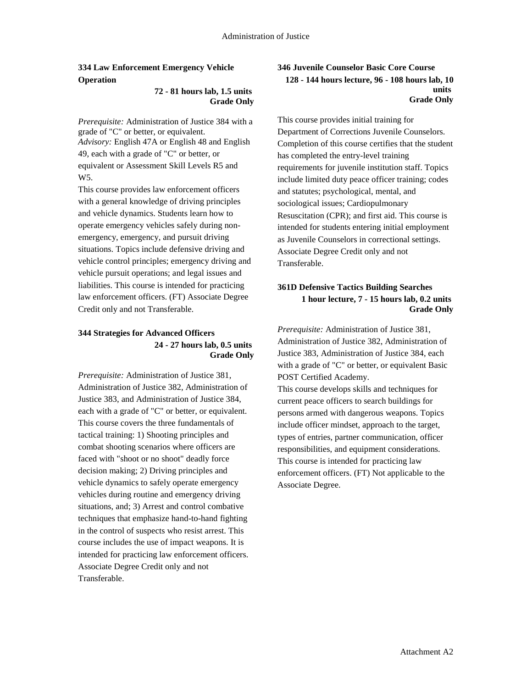## **334 Law Enforcement Emergency Vehicle Operation**

#### **72 - 81 hours lab, 1.5 units Grade Only**

*Prerequisite:* Administration of Justice 384 with a grade of "C" or better, or equivalent. *Advisory:* English 47A or English 48 and English 49, each with a grade of "C" or better, or equivalent or Assessment Skill Levels R5 and W5.

This course provides law enforcement officers with a general knowledge of driving principles and vehicle dynamics. Students learn how to operate emergency vehicles safely during nonemergency, emergency, and pursuit driving situations. Topics include defensive driving and vehicle control principles; emergency driving and vehicle pursuit operations; and legal issues and liabilities. This course is intended for practicing law enforcement officers. (FT) Associate Degree Credit only and not Transferable.

### **344 Strategies for Advanced Officers 24 - 27 hours lab, 0.5 units Grade Only**

*Prerequisite:* Administration of Justice 381, Administration of Justice 382, Administration of Justice 383, and Administration of Justice 384, each with a grade of "C" or better, or equivalent. This course covers the three fundamentals of tactical training: 1) Shooting principles and combat shooting scenarios where officers are faced with "shoot or no shoot" deadly force decision making; 2) Driving principles and vehicle dynamics to safely operate emergency vehicles during routine and emergency driving situations, and; 3) Arrest and control combative techniques that emphasize hand-to-hand fighting in the control of suspects who resist arrest. This course includes the use of impact weapons. It is intended for practicing law enforcement officers. Associate Degree Credit only and not Transferable.

### **346 Juvenile Counselor Basic Core Course 128 - 144 hours lecture, 96 - 108 hours lab, 10 units Grade Only**

This course provides initial training for Department of Corrections Juvenile Counselors. Completion of this course certifies that the student has completed the entry-level training requirements for juvenile institution staff. Topics include limited duty peace officer training; codes and statutes; psychological, mental, and sociological issues; Cardiopulmonary Resuscitation (CPR); and first aid. This course is intended for students entering initial employment as Juvenile Counselors in correctional settings. Associate Degree Credit only and not Transferable.

## **361D Defensive Tactics Building Searches 1 hour lecture, 7 - 15 hours lab, 0.2 units Grade Only**

*Prerequisite:* Administration of Justice 381, Administration of Justice 382, Administration of Justice 383, Administration of Justice 384, each with a grade of "C" or better, or equivalent Basic POST Certified Academy.

This course develops skills and techniques for current peace officers to search buildings for persons armed with dangerous weapons. Topics include officer mindset, approach to the target, types of entries, partner communication, officer responsibilities, and equipment considerations. This course is intended for practicing law enforcement officers. (FT) Not applicable to the Associate Degree.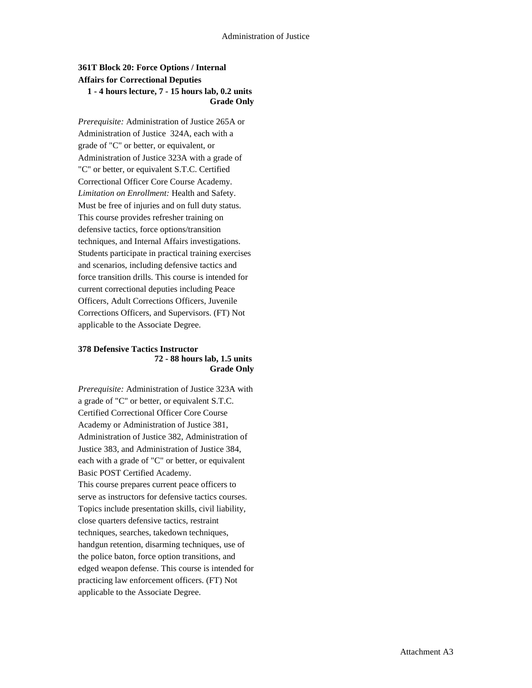## **361T Block 20: Force Options / Internal Affairs for Correctional Deputies 1 - 4 hours lecture, 7 - 15 hours lab, 0.2 units Grade Only**

*Prerequisite:* Administration of Justice 265A or Administration of Justice 324A, each with a grade of "C" or better, or equivalent, or Administration of Justice 323A with a grade of "C" or better, or equivalent S.T.C. Certified Correctional Officer Core Course Academy. *Limitation on Enrollment:* Health and Safety. Must be free of injuries and on full duty status. This course provides refresher training on defensive tactics, force options/transition techniques, and Internal Affairs investigations. Students participate in practical training exercises and scenarios, including defensive tactics and force transition drills. This course is intended for current correctional deputies including Peace Officers, Adult Corrections Officers, Juvenile Corrections Officers, and Supervisors. (FT) Not applicable to the Associate Degree.

#### **378 Defensive Tactics Instructor 72 - 88 hours lab, 1.5 units Grade Only**

*Prerequisite:* Administration of Justice 323A with a grade of "C" or better, or equivalent S.T.C. Certified Correctional Officer Core Course Academy or Administration of Justice 381, Administration of Justice 382, Administration of Justice 383, and Administration of Justice 384, each with a grade of "C" or better, or equivalent Basic POST Certified Academy. This course prepares current peace officers to serve as instructors for defensive tactics courses. Topics include presentation skills, civil liability, close quarters defensive tactics, restraint techniques, searches, takedown techniques, handgun retention, disarming techniques, use of the police baton, force option transitions, and edged weapon defense. This course is intended for practicing law enforcement officers. (FT) Not applicable to the Associate Degree.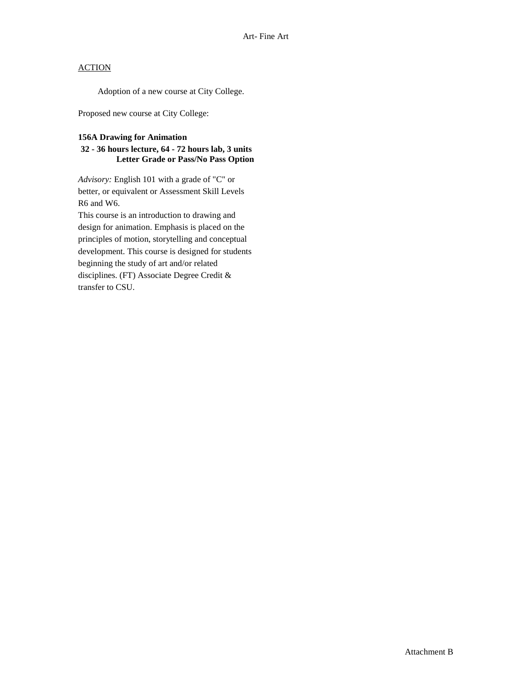Adoption of a new course at City College.

Proposed new course at City College:

### **156A Drawing for Animation**

### **32 - 36 hours lecture, 64 - 72 hours lab, 3 units Letter Grade or Pass/No Pass Option**

*Advisory:* English 101 with a grade of "C" or better, or equivalent or Assessment Skill Levels R6 and W6.

This course is an introduction to drawing and design for animation. Emphasis is placed on the principles of motion, storytelling and conceptual development. This course is designed for students beginning the study of art and/or related disciplines. (FT) Associate Degree Credit & transfer to CSU.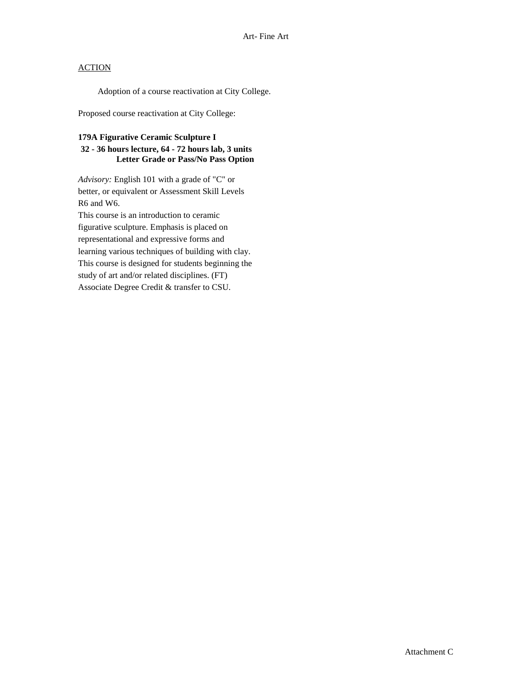Adoption of a course reactivation at City College.

Proposed course reactivation at City College:

#### **179A Figurative Ceramic Sculpture I**

## **32 - 36 hours lecture, 64 - 72 hours lab, 3 units Letter Grade or Pass/No Pass Option**

*Advisory:* English 101 with a grade of "C" or better, or equivalent or Assessment Skill Levels R6 and W6.

This course is an introduction to ceramic figurative sculpture. Emphasis is placed on representational and expressive forms and learning various techniques of building with clay. This course is designed for students beginning the study of art and/or related disciplines. (FT) Associate Degree Credit & transfer to CSU.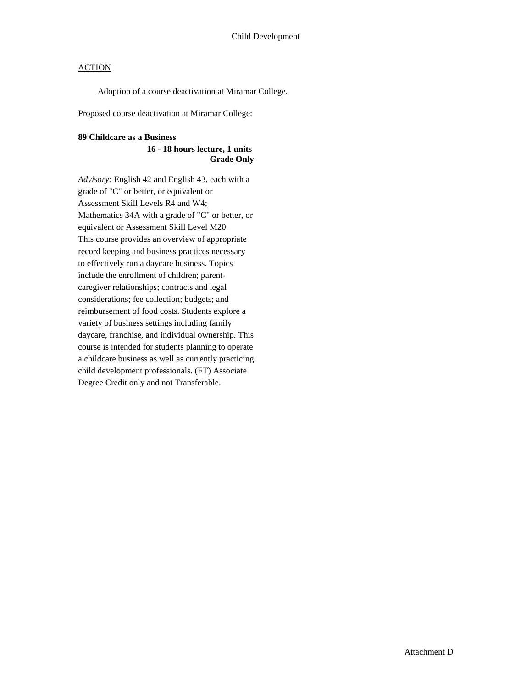Adoption of a course deactivation at Miramar College.

Proposed course deactivation at Miramar College:

#### **89 Childcare as a Business**

#### **16 - 18 hours lecture, 1 units Grade Only**

*Advisory:* English 42 and English 43, each with a grade of "C" or better, or equivalent or Assessment Skill Levels R4 and W4; Mathematics 34A with a grade of "C" or better, or equivalent or Assessment Skill Level M20. This course provides an overview of appropriate record keeping and business practices necessary to effectively run a daycare business. Topics include the enrollment of children; parentcaregiver relationships; contracts and legal considerations; fee collection; budgets; and reimbursement of food costs. Students explore a variety of business settings including family daycare, franchise, and individual ownership. This course is intended for students planning to operate a childcare business as well as currently practicing child development professionals. (FT) Associate Degree Credit only and not Transferable.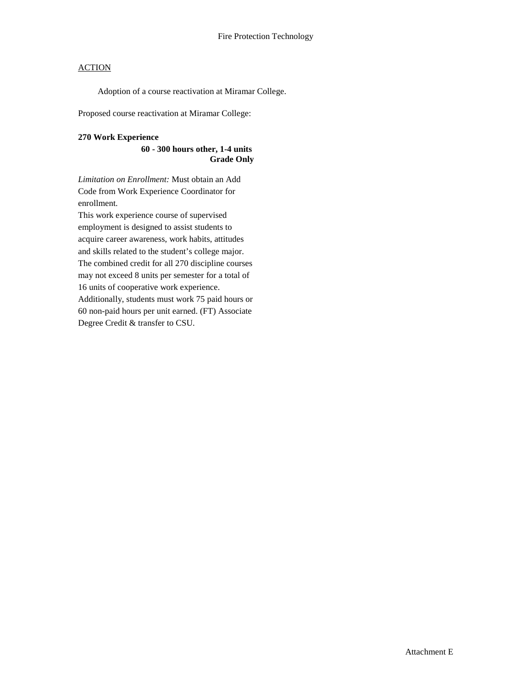Adoption of a course reactivation at Miramar College.

Proposed course reactivation at Miramar College:

#### **270 Work Experience**

#### **60 - 300 hours other, 1-4 units Grade Only**

*Limitation on Enrollment:* Must obtain an Add Code from Work Experience Coordinator for enrollment.

This work experience course of supervised employment is designed to assist students to acquire career awareness, work habits, attitudes and skills related to the student's college major. The combined credit for all 270 discipline courses may not exceed 8 units per semester for a total of

16 units of cooperative work experience.

Additionally, students must work 75 paid hours or 60 non-paid hours per unit earned. (FT) Associate Degree Credit & transfer to CSU.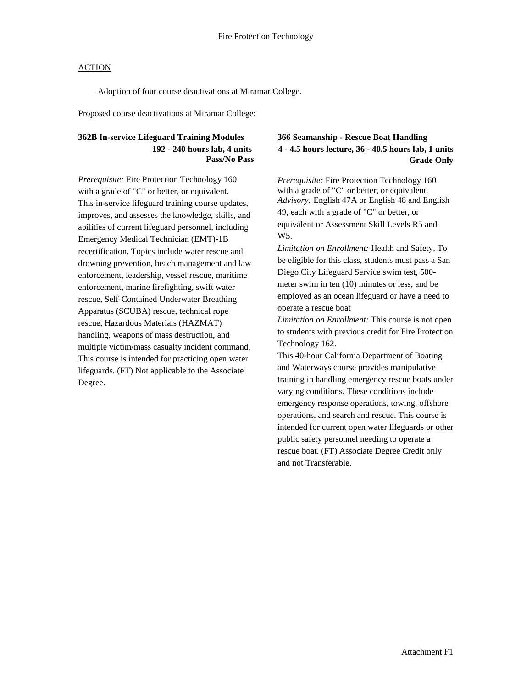Adoption of four course deactivations at Miramar College.

Proposed course deactivations at Miramar College:

## **362B In-service Lifeguard Training Modules 192 - 240 hours lab, 4 units Pass/No Pass**

*Prerequisite:* Fire Protection Technology 160 with a grade of "C" or better, or equivalent. This in-service lifeguard training course updates, improves, and assesses the knowledge, skills, and abilities of current lifeguard personnel, including Emergency Medical Technician (EMT)-1B recertification. Topics include water rescue and drowning prevention, beach management and law enforcement, leadership, vessel rescue, maritime enforcement, marine firefighting, swift water rescue, Self-Contained Underwater Breathing Apparatus (SCUBA) rescue, technical rope rescue, Hazardous Materials (HAZMAT) handling, weapons of mass destruction, and multiple victim/mass casualty incident command. This course is intended for practicing open water lifeguards. (FT) Not applicable to the Associate Degree.

## **366 Seamanship - Rescue Boat Handling 4 - 4.5 hours lecture, 36 - 40.5 hours lab, 1 units Grade Only**

*Prerequisite:* Fire Protection Technology 160 with a grade of "C" or better, or equivalent. *Advisory:* English 47A or English 48 and English 49, each with a grade of "C" or better, or equivalent or Assessment Skill Levels R5 and W<sub>5</sub>.

*Limitation on Enrollment:* Health and Safety. To be eligible for this class, students must pass a San Diego City Lifeguard Service swim test, 500 meter swim in ten (10) minutes or less, and be employed as an ocean lifeguard or have a need to operate a rescue boat

*Limitation on Enrollment:* This course is not open to students with previous credit for Fire Protection Technology 162.

This 40-hour California Department of Boating and Waterways course provides manipulative training in handling emergency rescue boats under varying conditions. These conditions include emergency response operations, towing, offshore operations, and search and rescue. This course is intended for current open water lifeguards or other public safety personnel needing to operate a rescue boat. (FT) Associate Degree Credit only and not Transferable.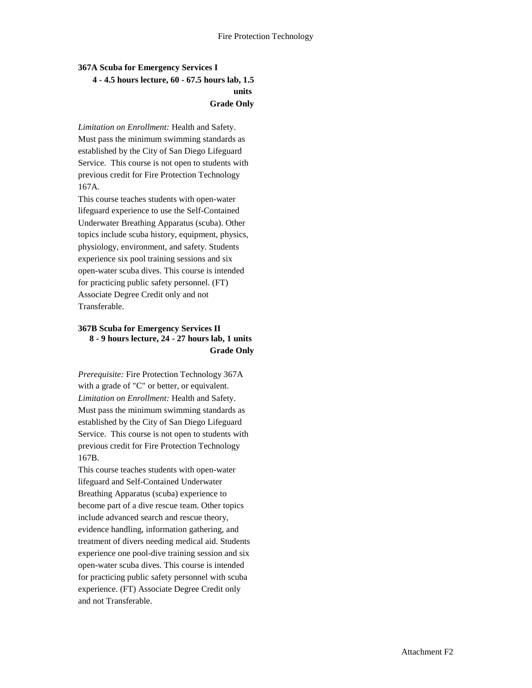## **367A Scuba for Emergency Services I 4 - 4.5 hours lecture, 60 - 67.5 hours lab, 1.5 units Grade Only**

*Limitation on Enrollment:* Health and Safety. Must pass the minimum swimming standards as established by the City of San Diego Lifeguard Service. This course is not open to students with previous credit for Fire Protection Technology 167A.

This course teaches students with open-water lifeguard experience to use the Self-Contained Underwater Breathing Apparatus (scuba). Other topics include scuba history, equipment, physics, physiology, environment, and safety. Students experience six pool training sessions and six open-water scuba dives. This course is intended for practicing public safety personnel. (FT) Associate Degree Credit only and not Transferable.

### **367B Scuba for Emergency Services II 8 - 9 hours lecture, 24 - 27 hours lab, 1 units Grade Only**

*Prerequisite:* Fire Protection Technology 367A with a grade of "C" or better, or equivalent. *Limitation on Enrollment:* Health and Safety. Must pass the minimum swimming standards as established by the City of San Diego Lifeguard Service. This course is not open to students with previous credit for Fire Protection Technology 167B.

This course teaches students with open-water lifeguard and Self-Contained Underwater Breathing Apparatus (scuba) experience to become part of a dive rescue team. Other topics include advanced search and rescue theory, evidence handling, information gathering, and treatment of divers needing medical aid. Students experience one pool-dive training session and six open-water scuba dives. This course is intended for practicing public safety personnel with scuba experience. (FT) Associate Degree Credit only and not Transferable.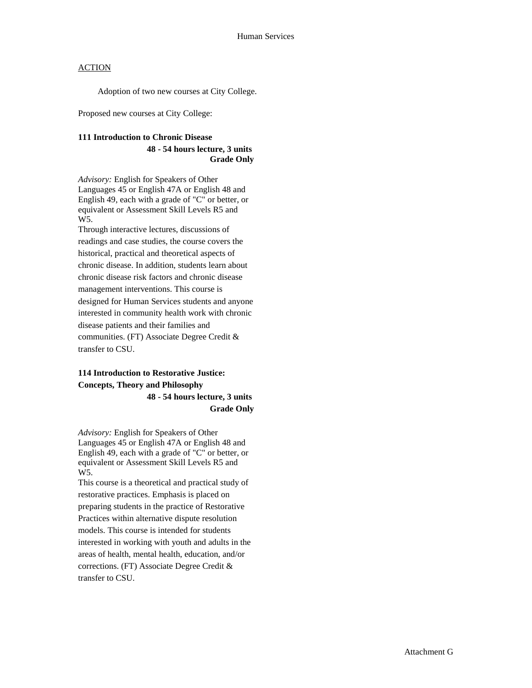Adoption of two new courses at City College.

Proposed new courses at City College:

#### **111 Introduction to Chronic Disease**

#### **48 - 54 hours lecture, 3 units Grade Only**

*Advisory:* English for Speakers of Other Languages 45 or English 47A or English 48 and English 49, each with a grade of "C" or better, or equivalent or Assessment Skill Levels R5 and W5.

Through interactive lectures, discussions of readings and case studies, the course covers the historical, practical and theoretical aspects of chronic disease. In addition, students learn about chronic disease risk factors and chronic disease management interventions. This course is designed for Human Services students and anyone interested in community health work with chronic disease patients and their families and communities. (FT) Associate Degree Credit & transfer to CSU.

## **114 Introduction to Restorative Justice: Concepts, Theory and Philosophy 48 - 54 hours lecture, 3 units Grade Only**

*Advisory:* English for Speakers of Other Languages 45 or English 47A or English 48 and English 49, each with a grade of "C" or better, or equivalent or Assessment Skill Levels R5 and W5.

This course is a theoretical and practical study of restorative practices. Emphasis is placed on preparing students in the practice of Restorative Practices within alternative dispute resolution models. This course is intended for students interested in working with youth and adults in the areas of health, mental health, education, and/or corrections. (FT) Associate Degree Credit & transfer to CSU.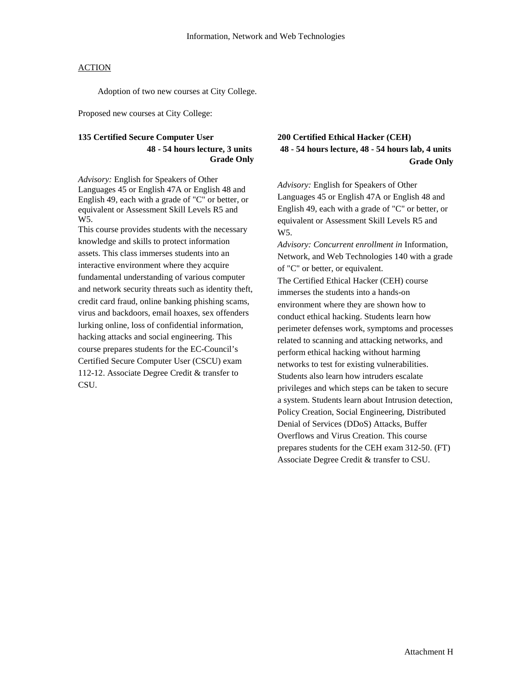Adoption of two new courses at City College.

Proposed new courses at City College:

#### **135 Certified Secure Computer User 48 - 54 hours lecture, 3 units Grade Only**

*Advisory:* English for Speakers of Other Languages 45 or English 47A or English 48 and English 49, each with a grade of "C" or better, or equivalent or Assessment Skill Levels R5 and W<sub>5</sub>.

This course provides students with the necessary knowledge and skills to protect information assets. This class immerses students into an interactive environment where they acquire fundamental understanding of various computer and network security threats such as identity theft, credit card fraud, online banking phishing scams, virus and backdoors, email hoaxes, sex offenders lurking online, loss of confidential information, hacking attacks and social engineering. This course prepares students for the EC-Council's Certified Secure Computer User (CSCU) exam 112-12. Associate Degree Credit & transfer to CSU.

## **200 Certified Ethical Hacker (CEH) 48 - 54 hours lecture, 48 - 54 hours lab, 4 units Grade Only**

*Advisory:* English for Speakers of Other Languages 45 or English 47A or English 48 and English 49, each with a grade of "C" or better, or equivalent or Assessment Skill Levels R5 and W5.

*Advisory: Concurrent enrollment in* Information, Network, and Web Technologies 140 with a grade of "C" or better, or equivalent. The Certified Ethical Hacker (CEH) course immerses the students into a hands-on environment where they are shown how to conduct ethical hacking. Students learn how perimeter defenses work, symptoms and processes related to scanning and attacking networks, and perform ethical hacking without harming networks to test for existing vulnerabilities. Students also learn how intruders escalate privileges and which steps can be taken to secure a system. Students learn about Intrusion detection, Policy Creation, Social Engineering, Distributed Denial of Services (DDoS) Attacks, Buffer Overflows and Virus Creation. This course prepares students for the CEH exam 312-50. (FT) Associate Degree Credit & transfer to CSU.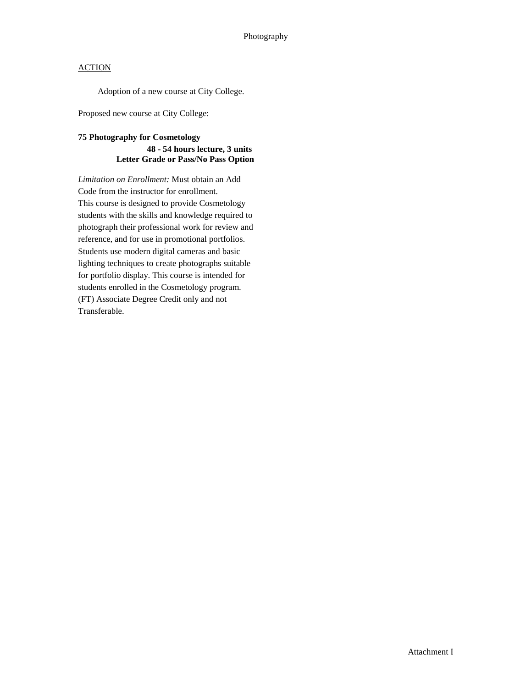Adoption of a new course at City College.

Proposed new course at City College:

## **75 Photography for Cosmetology 48 - 54 hours lecture, 3 units Letter Grade or Pass/No Pass Option**

*Limitation on Enrollment:* Must obtain an Add Code from the instructor for enrollment. This course is designed to provide Cosmetology students with the skills and knowledge required to photograph their professional work for review and reference, and for use in promotional portfolios. Students use modern digital cameras and basic lighting techniques to create photographs suitable for portfolio display. This course is intended for students enrolled in the Cosmetology program. (FT) Associate Degree Credit only and not Transferable.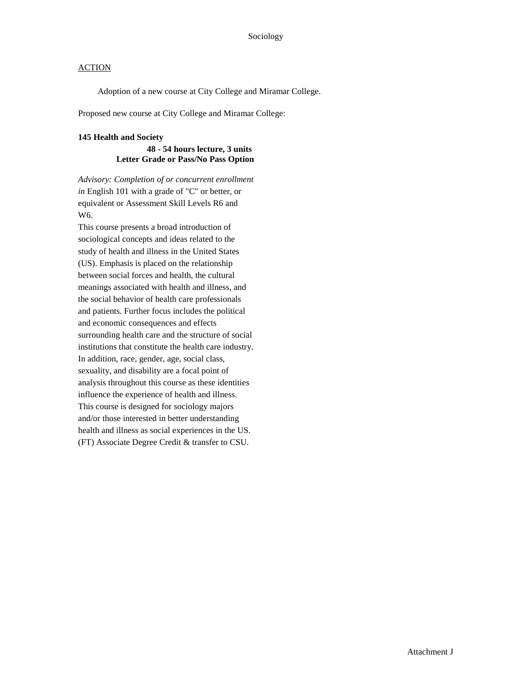Adoption of a new course at City College and Miramar College.

Proposed new course at City College and Miramar College:

#### **145 Health and Society**

#### **48 - 54 hours lecture, 3 units Letter Grade or Pass/No Pass Option**

*Advisory: Completion of or concurrent enrollment in* English 101 with a grade of "C" or better, or equivalent or Assessment Skill Levels R6 and W6.

This course presents a broad introduction of sociological concepts and ideas related to the study of health and illness in the United States (US). Emphasis is placed on the relationship between social forces and health, the cultural meanings associated with health and illness, and the social behavior of health care professionals and patients. Further focus includes the political and economic consequences and effects surrounding health care and the structure of social institutions that constitute the health care industry. In addition, race, gender, age, social class, sexuality, and disability are a focal point of analysis throughout this course as these identities influence the experience of health and illness. This course is designed for sociology majors and/or those interested in better understanding health and illness as social experiences in the US. (FT) Associate Degree Credit & transfer to CSU.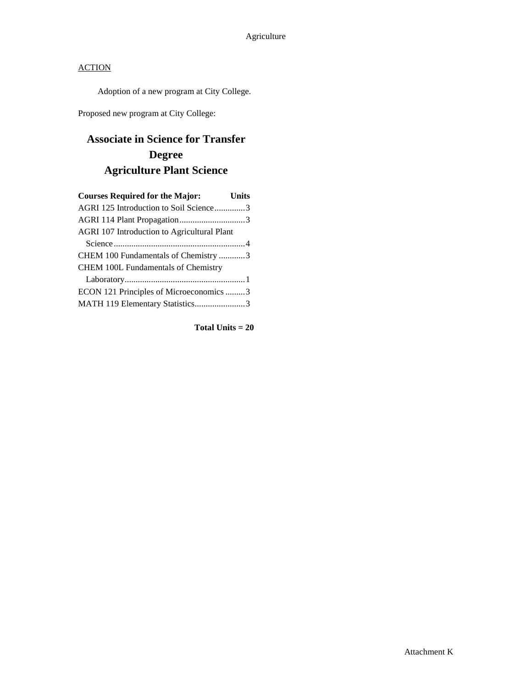Adoption of a new program at City College.

Proposed new program at City College:

# **Associate in Science for Transfer Degree Agriculture Plant Science**

| <b>Courses Required for the Major:</b>      | <b>Units</b> |
|---------------------------------------------|--------------|
| AGRI 125 Introduction to Soil Science3      |              |
|                                             |              |
| AGRI 107 Introduction to Agricultural Plant |              |
|                                             |              |
| CHEM 100 Fundamentals of Chemistry 3        |              |
| <b>CHEM 100L Fundamentals of Chemistry</b>  |              |
|                                             |              |
| ECON 121 Principles of Microeconomics 3     |              |
| MATH 119 Elementary Statistics3             |              |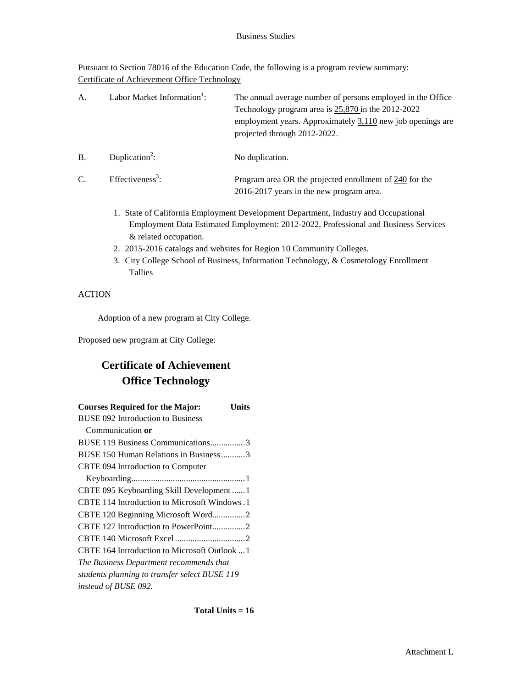Pursuant to Section 78016 of the Education Code, the following is a program review summary: Certificate of Achievement Office Technology

| A.        | Labor Market Information <sup>1</sup> : | The annual average number of persons employed in the Office<br>Technology program area is $25,870$ in the 2012-2022<br>employment years. Approximately $3,110$ new job openings are<br>projected through 2012-2022. |
|-----------|-----------------------------------------|---------------------------------------------------------------------------------------------------------------------------------------------------------------------------------------------------------------------|
| <b>B.</b> | Duplication <sup>2</sup> :              | No duplication.                                                                                                                                                                                                     |
| C.        | Effectiveness <sup>3</sup> :            | Program area OR the projected enrollment of 240 for the<br>2016-2017 years in the new program area.                                                                                                                 |

- 1. State of California Employment Development Department, Industry and Occupational Employment Data Estimated Employment: 2012-2022, Professional and Business Services & related occupation.
- 2. 2015-2016 catalogs and websites for Region 10 Community Colleges.
- 3. City College School of Business, Information Technology, & Cosmetology Enrollment Tallies

## **ACTION**

Adoption of a new program at City College.

Proposed new program at City College:

# **Certificate of Achievement Office Technology**

| <b>Courses Required for the Major:</b><br>Units |
|-------------------------------------------------|
| BUSE 092 Introduction to Business               |
| Communication or                                |
| BUSE 119 Business Communications3               |
| BUSE 150 Human Relations in Business3           |
| CBTE 094 Introduction to Computer               |
|                                                 |
| CBTE 095 Keyboarding Skill Development  1       |
| CBTE 114 Introduction to Microsoft Windows.1    |
| CBTE 120 Beginning Microsoft Word2              |
| CBTE 127 Introduction to PowerPoint2            |
|                                                 |
| CBTE 164 Introduction to Microsoft Outlook  1   |
| The Business Department recommends that         |
| students planning to transfer select BUSE 119   |
| instead of BUSE 092.                            |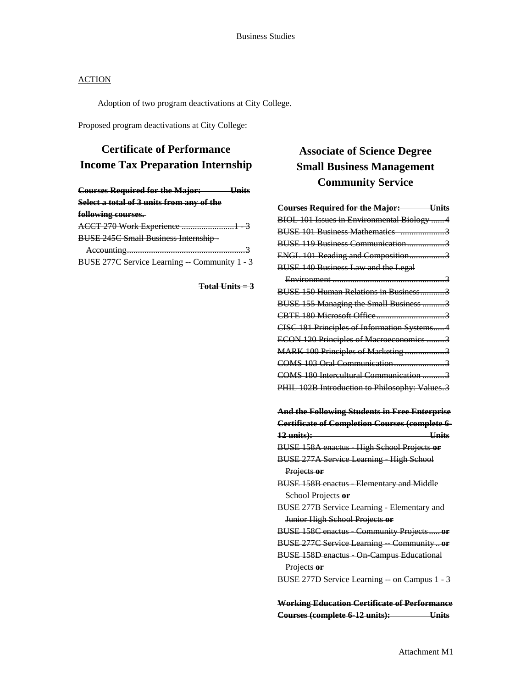Adoption of two program deactivations at City College.

Proposed program deactivations at City College:

## **Certificate of Performance Income Tax Preparation Internship**

| <b>Courses Required for the Major:</b>       |  |
|----------------------------------------------|--|
| Select a total of 3 units from any of the    |  |
| <u>following courses.</u>                    |  |
| ACCT 270 Work Experience 1                   |  |
| <b>BUSE 245C Small Business Internship -</b> |  |
|                                              |  |
| BUSE 277C Service Learning Community 1       |  |
|                                              |  |

**Total Units = 3**

# **Associate of Science Degree Small Business Management Community Service**

| <b>Courses Required for the Major: Units</b>                                                           |
|--------------------------------------------------------------------------------------------------------|
| BIOL 101 Issues in Environmental Biology 4                                                             |
| BUSE 101 Business Mathematics 3                                                                        |
| BUSE 119 Business Communication3                                                                       |
| ENGL 101 Reading and Composition3                                                                      |
| <b>BUSE 140 Business Law and the Legal</b>                                                             |
|                                                                                                        |
| <b>BUSE 150 Human Relations in Business3</b>                                                           |
| BUSE 155 Managing the Small Business 3                                                                 |
|                                                                                                        |
| CISC 181 Principles of Information Systems4                                                            |
| ECON 120 Principles of Macroeconomics 3                                                                |
| MARK 100 Principles of Marketing 3                                                                     |
| COMS 103 Oral Communication                                                                            |
| COMS 180 Intercultural Communication 3                                                                 |
| PHIL 102B Introduction to Philosophy: Values.3                                                         |
|                                                                                                        |
|                                                                                                        |
|                                                                                                        |
| <b>And the Following Students in Free Enterprise</b><br>Certificate of Completion Courses (complete 6- |
| <b>Units</b><br>12 units):                                                                             |
| BUSE 158A enactus High School Projects or                                                              |
| <b>BUSE 277A Service Learning High School</b>                                                          |
| Projects or                                                                                            |
| <b>BUSE 158B enactus Elementary and Middle</b>                                                         |
| School Projects or                                                                                     |
| <b>BUSE 277B Service Learning Elementary and</b>                                                       |
| Junior High School Projects or                                                                         |
| BUSE 158C enactus Community Projects or                                                                |
| <b>BUSE 277C Service Learning Communityor</b>                                                          |
| <b>BUSE 158D enactus On Campus Educational</b>                                                         |
| Projects or                                                                                            |
| BUSE 277D Service Learning on Campus 1 3                                                               |

**Working Education Certificate of Performance Courses (complete 6-12 units): Units**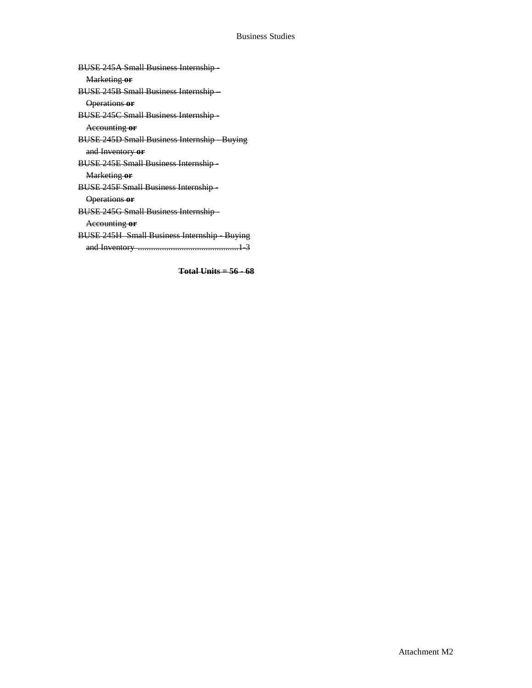**Total Units = 56 - 68**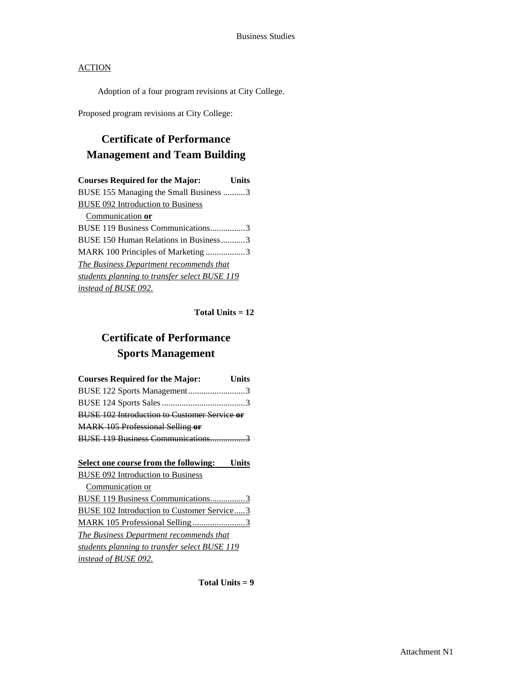Adoption of a four program revisions at City College.

Proposed program revisions at City College:

## **Certificate of Performance Management and Team Building**

| <b>Courses Required for the Major:</b>        | Units |
|-----------------------------------------------|-------|
| BUSE 155 Managing the Small Business 3        |       |
| <b>BUSE 092 Introduction to Business</b>      |       |
| Communication or                              |       |
| BUSE 119 Business Communications3             |       |
| BUSE 150 Human Relations in Business3         |       |
| MARK 100 Principles of Marketing3             |       |
| The Business Department recommends that       |       |
| students planning to transfer select BUSE 119 |       |
| instead of BUSE 092.                          |       |

**Total Units = 12**

# **Certificate of Performance Sports Management**

| <b>Courses Required for the Major:</b>              | <b>Units</b> |
|-----------------------------------------------------|--------------|
| BUSE 122 Sports Management3                         |              |
|                                                     |              |
| <b>BUSE 102 Introduction to Customer Service or</b> |              |
| <b>MARK 105 Professional Selling or</b>             |              |
| BUSE 119 Business Communications3                   |              |

| Select one course from the following: Units       |
|---------------------------------------------------|
| <b>BUSE 092 Introduction to Business</b>          |
| Communication or                                  |
| <b>BUSE 119 Business Communications3</b>          |
| <b>BUSE 102 Introduction to Customer Service3</b> |
| MARK 105 Professional Selling3                    |
| The Business Department recommends that           |
| students planning to transfer select BUSE 119     |
| instead of BUSE 092.                              |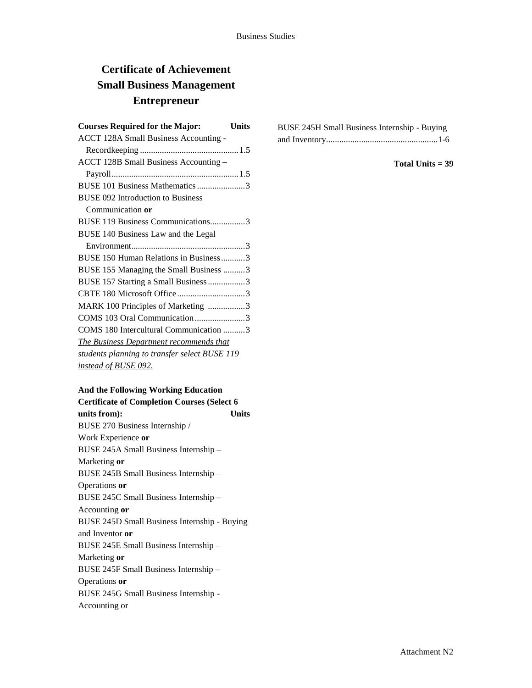# **Certificate of Achievement Small Business Management Entrepreneur**

| <b>Courses Required for the Major:</b>         | <b>Units</b> |
|------------------------------------------------|--------------|
| <b>ACCT 128A Small Business Accounting -</b>   |              |
|                                                |              |
| ACCT 128B Small Business Accounting -          |              |
|                                                |              |
| BUSE 101 Business Mathematics 3                |              |
| BUSE 092 Introduction to Business              |              |
| Communication or                               |              |
| BUSE 119 Business Communications3              |              |
| BUSE 140 Business Law and the Legal            |              |
|                                                |              |
| BUSE 150 Human Relations in Business3          |              |
| BUSE 155 Managing the Small Business 3         |              |
| BUSE 157 Starting a Small Business 3           |              |
|                                                |              |
| MARK 100 Principles of Marketing 3             |              |
| COMS 103 Oral Communication3                   |              |
| COMS 180 Intercultural Communication 3         |              |
| <b>The Business Department recommends that</b> |              |
| students planning to transfer select BUSE 119  |              |
| instead of BUSE 092.                           |              |
|                                                |              |

| And the Following Working Education                 |  |
|-----------------------------------------------------|--|
| <b>Certificate of Completion Courses (Select 6)</b> |  |

**units from): Units** BUSE 270 Business Internship / Work Experience **or** BUSE 245A Small Business Internship – Marketing **or** BUSE 245B Small Business Internship – Operations **or** BUSE 245C Small Business Internship – Accounting **or** BUSE 245D Small Business Internship - Buying and Inventor **or** BUSE 245E Small Business Internship – Marketing **or** BUSE 245F Small Business Internship – Operations **or** BUSE 245G Small Business Internship - Accounting or

| BUSE 245H Small Business Internship - Buying |  |
|----------------------------------------------|--|
|                                              |  |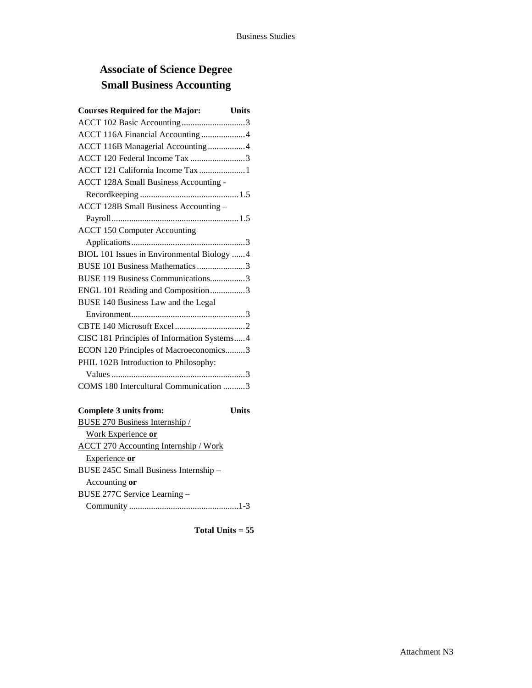# **Associate of Science Degree Small Business Accounting**

| <b>Courses Required for the Major:</b><br><b>Units</b> |  |
|--------------------------------------------------------|--|
| ACCT 102 Basic Accounting3                             |  |
| ACCT 116A Financial Accounting 4                       |  |
| ACCT 116B Managerial Accounting 4                      |  |
| ACCT 120 Federal Income Tax 3                          |  |
| ACCT 121 California Income Tax 1                       |  |
| <b>ACCT 128A Small Business Accounting -</b>           |  |
|                                                        |  |
| ACCT 128B Small Business Accounting -                  |  |
|                                                        |  |
| <b>ACCT 150 Computer Accounting</b>                    |  |
|                                                        |  |
| BIOL 101 Issues in Environmental Biology 4             |  |
| BUSE 101 Business Mathematics 3                        |  |
| BUSE 119 Business Communications3                      |  |
| ENGL 101 Reading and Composition3                      |  |
| BUSE 140 Business Law and the Legal                    |  |
|                                                        |  |
|                                                        |  |
| CISC 181 Principles of Information Systems4            |  |
| ECON 120 Principles of Macroeconomics3                 |  |
| PHIL 102B Introduction to Philosophy:                  |  |
|                                                        |  |
| COMS 180 Intercultural Communication 3                 |  |
|                                                        |  |

| <b>Complete 3 units from:</b>         | Units |
|---------------------------------------|-------|
| <b>BUSE 270 Business Internship /</b> |       |
| Work Experience or                    |       |
| ACCT 270 Accounting Internship / Work |       |
| Experience or                         |       |
| BUSE 245C Small Business Internship - |       |
| Accounting or                         |       |
| BUSE 277C Service Learning -          |       |
|                                       |       |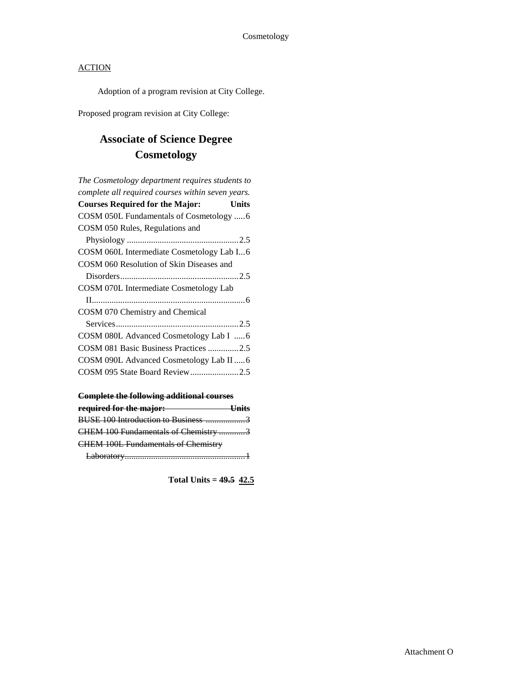Adoption of a program revision at City College.

Proposed program revision at City College:

# **Associate of Science Degree Cosmetology**

| The Cosmetology department requires students to   |
|---------------------------------------------------|
| complete all required courses within seven years. |
| <b>Courses Required for the Major:</b><br>Units   |
|                                                   |
| COSM 050 Rules, Regulations and                   |
|                                                   |
| COSM 060L Intermediate Cosmetology Lab I6         |
| COSM 060 Resolution of Skin Diseases and          |
|                                                   |
| COSM 070L Intermediate Cosmetology Lab            |
|                                                   |
| COSM 070 Chemistry and Chemical                   |
|                                                   |
| COSM 080L Advanced Cosmetology Lab I 6            |
| COSM 081 Basic Business Practices 2.5             |
| COSM 090L Advanced Cosmetology Lab II  6          |
|                                                   |
|                                                   |

## **Complete the following additional courses**

| required for the major:                    | LInite |
|--------------------------------------------|--------|
| BUSE 100 Introduction to Business 3        |        |
| CHEM 100 Fundamentals of Chemistry 3       |        |
| <b>CHEM 100L Fundamentals of Chemistry</b> |        |
|                                            |        |

**Total Units = 49.5 42.5**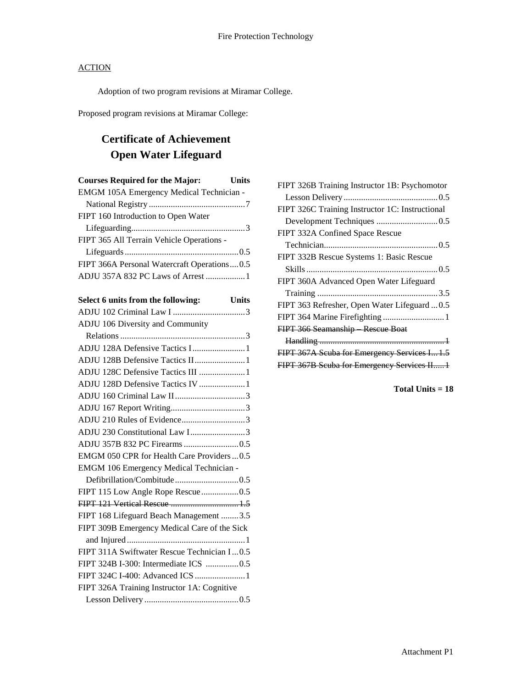Adoption of two program revisions at Miramar College.

Proposed program revisions at Miramar College:

# **Certificate of Achievement Open Water Lifeguard**

| <b>Courses Required for the Major:</b>      | Units |
|---------------------------------------------|-------|
| EMGM 105A Emergency Medical Technician -    |       |
|                                             |       |
| FIPT 160 Introduction to Open Water         |       |
|                                             |       |
| FIPT 365 All Terrain Vehicle Operations -   |       |
|                                             |       |
| FIPT 366A Personal Watercraft Operations0.5 |       |
| ADJU 357A 832 PC Laws of Arrest 1           |       |
|                                             |       |

| Select 6 units from the following:<br><b>Units</b> |
|----------------------------------------------------|
|                                                    |
| ADJU 106 Diversity and Community                   |
|                                                    |
| ADJU 128A Defensive Tactics I1                     |
| ADJU 128B Defensive Tactics II1                    |
| ADJU 128C Defensive Tactics III 1                  |
| ADJU 128D Defensive Tactics IV 1                   |
|                                                    |
|                                                    |
| ADJU 210 Rules of Evidence3                        |
| ADJU 230 Constitutional Law I3                     |
|                                                    |
| EMGM 050 CPR for Health Care Providers  0.5        |
| <b>EMGM 106 Emergency Medical Technician -</b>     |
| Defibrillation/Combitude0.5                        |
| FIPT 115 Low Angle Rope Rescue0.5                  |
| FIPT 121 Vertical Rescue  1.5                      |
| FIPT 168 Lifeguard Beach Management 3.5            |
| FIPT 309B Emergency Medical Care of the Sick       |
|                                                    |
| FIPT 311A Swiftwater Rescue Technician I0.5        |
| FIPT 324B I-300: Intermediate ICS 0.5              |
|                                                    |
| FIPT 326A Training Instructor 1A: Cognitive        |
|                                                    |

| FIPT 326B Training Instructor 1B: Psychomotor   |
|-------------------------------------------------|
|                                                 |
| FIPT 326C Training Instructor 1C: Instructional |
|                                                 |
| FIPT 332A Confined Space Rescue                 |
|                                                 |
| FIPT 332B Rescue Systems 1: Basic Rescue        |
|                                                 |
| FIPT 360A Advanced Open Water Lifeguard         |
|                                                 |
| FIPT 363 Refresher, Open Water Lifeguard 0.5    |
| FIPT 364 Marine Firefighting  1                 |
| FIPT 366 Seamanship Rescue Boat                 |
|                                                 |
| FIPT 367A Scuba for Emergency Services I 1.5    |
| FIPT 367B Scuba for Emergency Services II1      |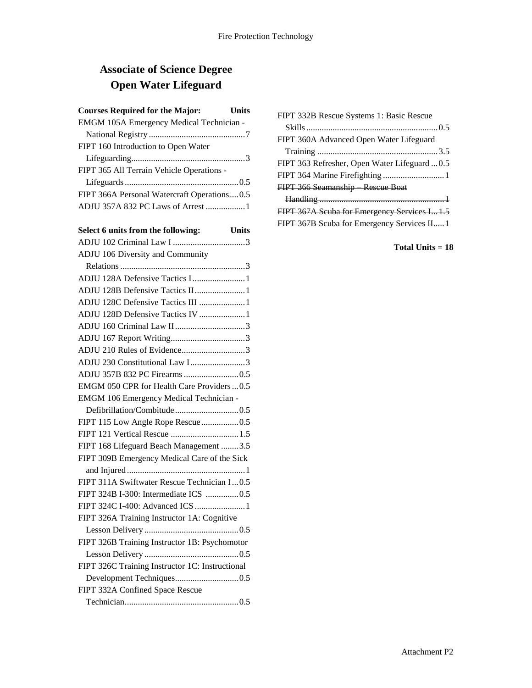# **Associate of Science Degree Open Water Lifeguard**

| <b>Courses Required for the Major:</b> Units    |  |
|-------------------------------------------------|--|
| EMGM 105A Emergency Medical Technician -        |  |
|                                                 |  |
| FIPT 160 Introduction to Open Water             |  |
|                                                 |  |
| FIPT 365 All Terrain Vehicle Operations -       |  |
|                                                 |  |
| FIPT 366A Personal Watercraft Operations0.5     |  |
| ADJU 357A 832 PC Laws of Arrest 1               |  |
|                                                 |  |
| Select 6 units from the following: Units        |  |
|                                                 |  |
| ADJU 106 Diversity and Community                |  |
|                                                 |  |
| ADJU 128A Defensive Tactics I1                  |  |
| ADJU 128B Defensive Tactics II 1                |  |
| ADJU 128C Defensive Tactics III  1              |  |
| ADJU 128D Defensive Tactics IV  1               |  |
|                                                 |  |
|                                                 |  |
| ADJU 210 Rules of Evidence3                     |  |
| ADJU 230 Constitutional Law I3                  |  |
|                                                 |  |
| EMGM 050 CPR for Health Care Providers  0.5     |  |
| EMGM 106 Emergency Medical Technician -         |  |
|                                                 |  |
| FIPT 115 Low Angle Rope Rescue0.5               |  |
| FIPT 121 Vertical Rescue  1.5                   |  |
| FIPT 168 Lifeguard Beach Management 3.5         |  |
| FIPT 309B Emergency Medical Care of the Sick    |  |
|                                                 |  |
| FIPT 311A Swiftwater Rescue Technician I0.5     |  |
| FIPT 324B I-300: Intermediate ICS 0.5           |  |
| FIPT 324C I-400: Advanced ICS  1                |  |
| FIPT 326A Training Instructor 1A: Cognitive     |  |
|                                                 |  |
| FIPT 326B Training Instructor 1B: Psychomotor   |  |
|                                                 |  |
| FIPT 326C Training Instructor 1C: Instructional |  |
|                                                 |  |
| FIPT 332A Confined Space Rescue                 |  |
|                                                 |  |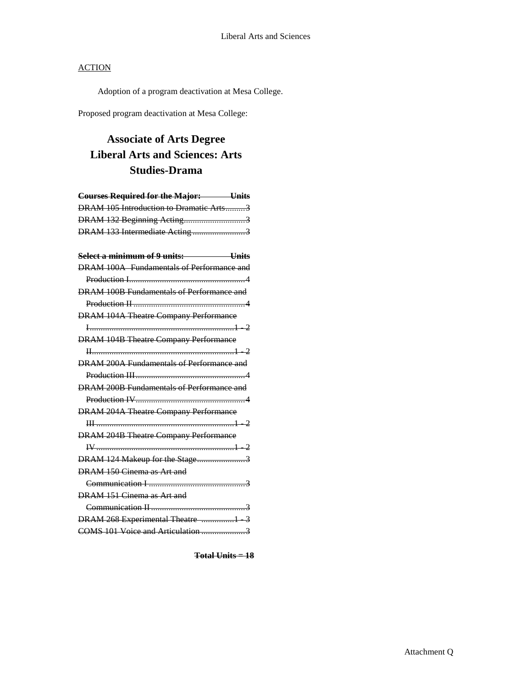Adoption of a program deactivation at Mesa College.

Proposed program deactivation at Mesa College:

# **Associate of Arts Degree Liberal Arts and Sciences: Arts Studies-Drama**

| <b>Courses Required for the Major: Units</b> |
|----------------------------------------------|
| DRAM 105 Introduction to Dramatic Arts3      |
| DRAM 132 Beginning Acting3                   |
| DRAM 133 Intermediate Acting3                |
|                                              |
| Select a minimum of 9 units: Units           |
| DRAM 100A Fundamentals of Performance and    |
|                                              |
| DRAM 100B Fundamentals of Performance and    |
|                                              |
| <b>DRAM 104A Theatre Company Performance</b> |
|                                              |
| <b>DRAM 104B Theatre Company Performance</b> |
|                                              |
| DRAM 200A Fundamentals of Performance and    |
|                                              |
| DRAM 200B Fundamentals of Performance and    |
|                                              |
| <b>DRAM 204A Theatre Company Performance</b> |
|                                              |
| <b>DRAM 204B Theatre Company Performance</b> |
|                                              |
| DRAM 124 Makeup for the Stage3               |
| DRAM 150 Cinema as Art and                   |
|                                              |
| DRAM 151 Cinema as Art and                   |
|                                              |
| DRAM 268 Experimental Theatre 1 3            |
| COMS 101 Voice and Articulation 3            |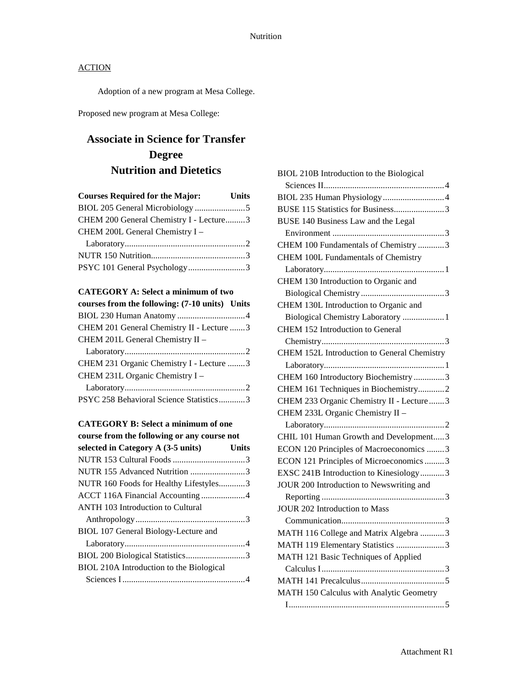Adoption of a new program at Mesa College.

Proposed new program at Mesa College:

# **Associate in Science for Transfer Degree Nutrition and Dietetics**

| <b>Courses Required for the Major:</b>  | <b>Units</b> |
|-----------------------------------------|--------------|
|                                         |              |
| CHEM 200 General Chemistry I - Lecture3 |              |
| CHEM 200L General Chemistry I -         |              |
|                                         |              |
|                                         |              |
| PSYC 101 General Psychology3            |              |

## **CATEGORY A: Select a minimum of two**

| courses from the following: (7-10 units) Units |  |
|------------------------------------------------|--|
|                                                |  |
| CHEM 201 General Chemistry II - Lecture 3      |  |
| CHEM 201L General Chemistry II -               |  |
|                                                |  |
| CHEM 231 Organic Chemistry I - Lecture 3       |  |
| CHEM 231L Organic Chemistry I -                |  |
|                                                |  |
| PSYC 258 Behavioral Science Statistics3        |  |

### **CATEGORY B: Select a minimum of one**

| course from the following or any course not |              |
|---------------------------------------------|--------------|
| selected in Category A (3-5 units)          | <b>Units</b> |
|                                             |              |
| NUTR 155 Advanced Nutrition 3               |              |
| NUTR 160 Foods for Healthy Lifestyles3      |              |
|                                             |              |
| <b>ANTH 103 Introduction to Cultural</b>    |              |
|                                             |              |
| BIOL 107 General Biology-Lecture and        |              |
|                                             |              |
|                                             |              |
| BIOL 210A Introduction to the Biological    |              |
|                                             |              |
|                                             |              |

| BIOL 210B Introduction to the Biological    |
|---------------------------------------------|
|                                             |
|                                             |
| BUSE 115 Statistics for Business3           |
| BUSE 140 Business Law and the Legal         |
|                                             |
| CHEM 100 Fundamentals of Chemistry 3        |
| <b>CHEM 100L Fundamentals of Chemistry</b>  |
|                                             |
| CHEM 130 Introduction to Organic and        |
|                                             |
| CHEM 130L Introduction to Organic and       |
| Biological Chemistry Laboratory  1          |
| CHEM 152 Introduction to General            |
|                                             |
| CHEM 152L Introduction to General Chemistry |
|                                             |
| CHEM 160 Introductory Biochemistry 3        |
| CHEM 161 Techniques in Biochemistry2        |
| CHEM 233 Organic Chemistry II - Lecture  3  |
| CHEM 233L Organic Chemistry II -            |
|                                             |
| CHIL 101 Human Growth and Development3      |
| ECON 120 Principles of Macroeconomics 3     |
| ECON 121 Principles of Microeconomics 3     |
| EXSC 241B Introduction to Kinesiology3      |
| JOUR 200 Introduction to Newswriting and    |
|                                             |
| <b>JOUR 202 Introduction to Mass</b>        |
|                                             |
| MATH 116 College and Matrix Algebra 3       |
| MATH 119 Elementary Statistics 3            |
| MATH 121 Basic Techniques of Applied        |
|                                             |
|                                             |
| MATH 150 Calculus with Analytic Geometry    |
|                                             |
|                                             |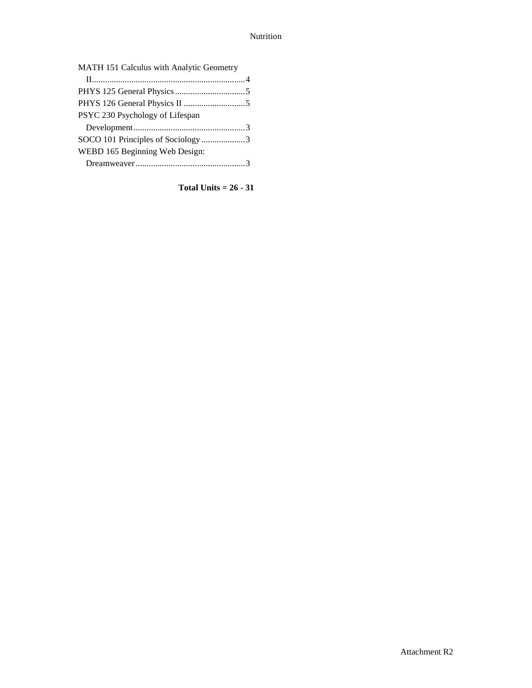| MATH 151 Calculus with Analytic Geometry |  |
|------------------------------------------|--|
|                                          |  |
|                                          |  |
|                                          |  |
| PSYC 230 Psychology of Lifespan          |  |
|                                          |  |
| SOCO 101 Principles of Sociology3        |  |
| WEBD 165 Beginning Web Design:           |  |
|                                          |  |
|                                          |  |

**Total Units = 26 - 31**